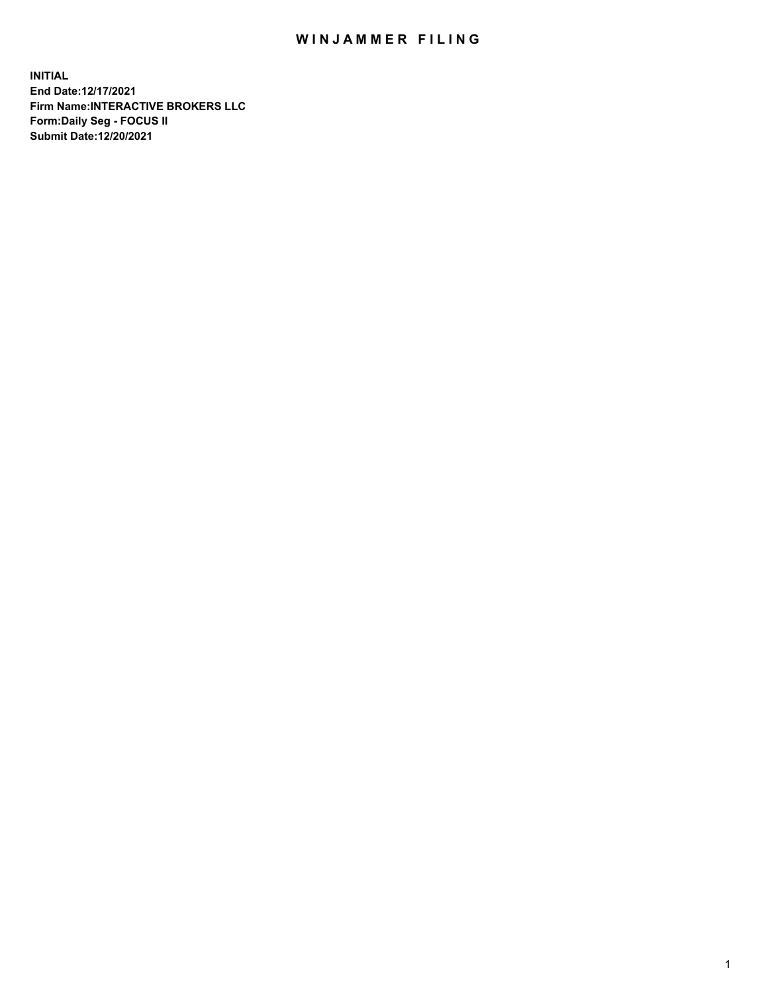## WIN JAMMER FILING

**INITIAL End Date:12/17/2021 Firm Name:INTERACTIVE BROKERS LLC Form:Daily Seg - FOCUS II Submit Date:12/20/2021**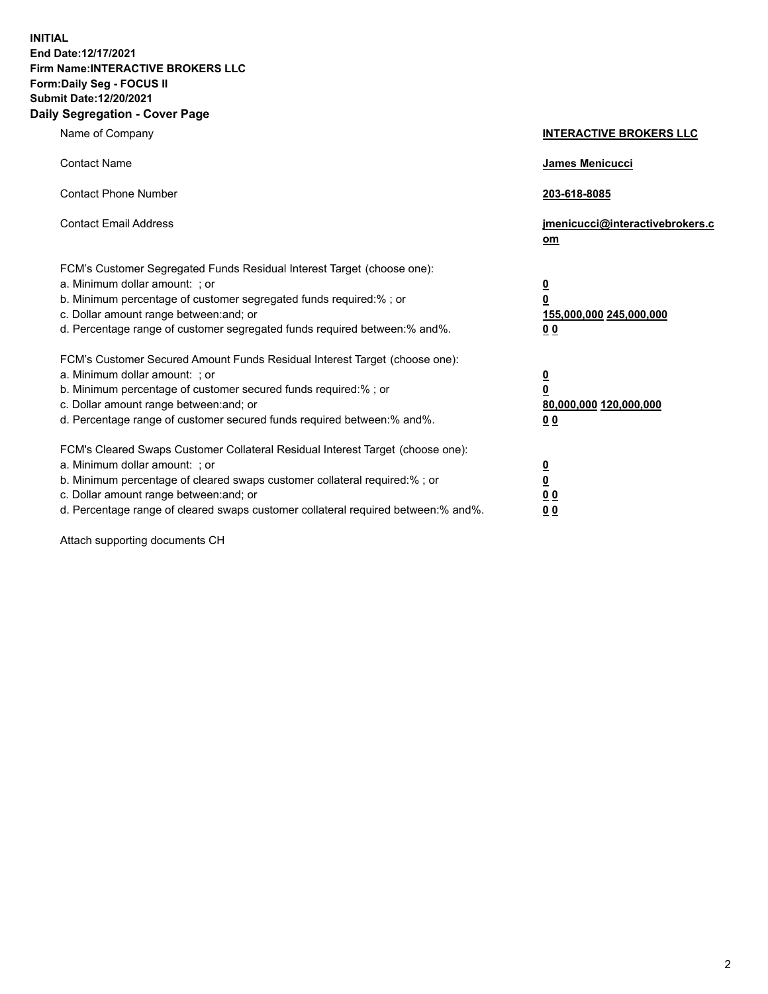**INITIAL End Date:12/17/2021 Firm Name:INTERACTIVE BROKERS LLC Form:Daily Seg - FOCUS II Submit Date:12/20/2021 Daily Segregation - Cover Page**

| Name of Company                                                                                                                                                                                                                                                                                                                | <b>INTERACTIVE BROKERS LLC</b>                                                  |
|--------------------------------------------------------------------------------------------------------------------------------------------------------------------------------------------------------------------------------------------------------------------------------------------------------------------------------|---------------------------------------------------------------------------------|
| <b>Contact Name</b>                                                                                                                                                                                                                                                                                                            | James Menicucci                                                                 |
| <b>Contact Phone Number</b>                                                                                                                                                                                                                                                                                                    | 203-618-8085                                                                    |
| <b>Contact Email Address</b>                                                                                                                                                                                                                                                                                                   | jmenicucci@interactivebrokers.c<br>om                                           |
| FCM's Customer Segregated Funds Residual Interest Target (choose one):<br>a. Minimum dollar amount: ; or<br>b. Minimum percentage of customer segregated funds required:%; or<br>c. Dollar amount range between: and; or<br>d. Percentage range of customer segregated funds required between:% and%.                          | <u>0</u><br>$\overline{\mathbf{0}}$<br>155,000,000 245,000,000<br><u>00</u>     |
| FCM's Customer Secured Amount Funds Residual Interest Target (choose one):<br>a. Minimum dollar amount: ; or<br>b. Minimum percentage of customer secured funds required:% ; or<br>c. Dollar amount range between: and; or<br>d. Percentage range of customer secured funds required between:% and%.                           | <u>0</u><br>$\overline{\mathbf{0}}$<br>80,000,000 120,000,000<br>0 <sub>0</sub> |
| FCM's Cleared Swaps Customer Collateral Residual Interest Target (choose one):<br>a. Minimum dollar amount: ; or<br>b. Minimum percentage of cleared swaps customer collateral required:% ; or<br>c. Dollar amount range between: and; or<br>d. Percentage range of cleared swaps customer collateral required between:% and%. | <u>0</u><br>$\underline{\mathbf{0}}$<br>0 <sub>0</sub><br>0 <sub>0</sub>        |

Attach supporting documents CH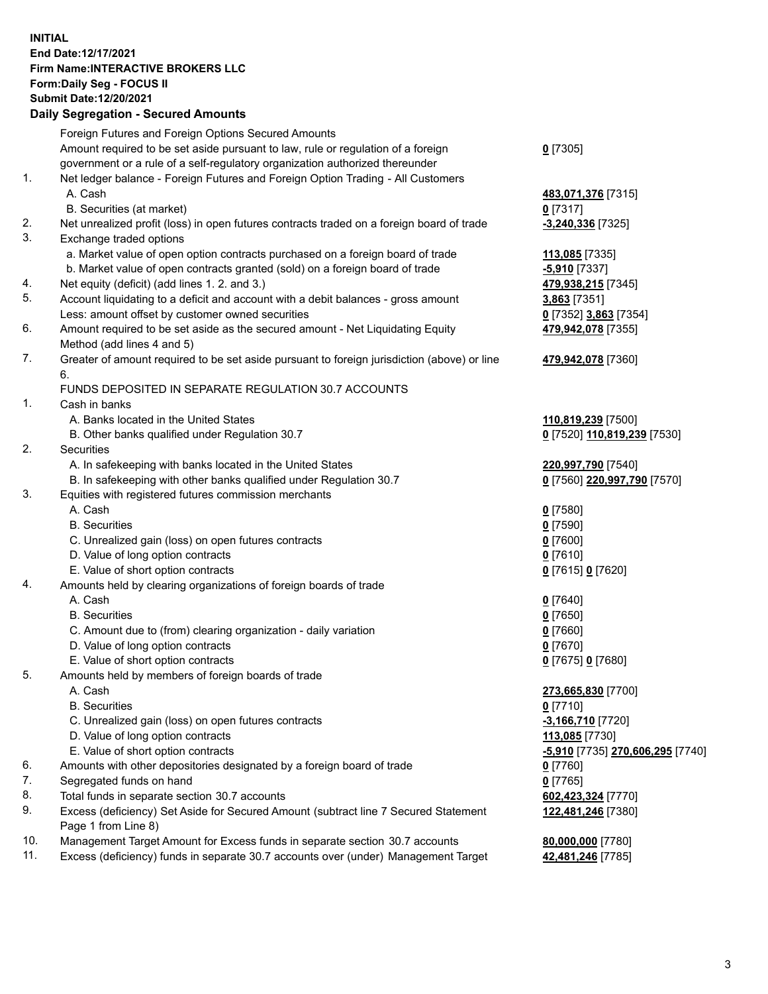## **INITIAL End Date:12/17/2021 Firm Name:INTERACTIVE BROKERS LLC Form:Daily Seg - FOCUS II Submit Date:12/20/2021 Daily Segregation - Secured Amounts**

|     | Daily Segregation - Secured Amounts                                                                        |                                  |
|-----|------------------------------------------------------------------------------------------------------------|----------------------------------|
|     | Foreign Futures and Foreign Options Secured Amounts                                                        |                                  |
|     | Amount required to be set aside pursuant to law, rule or regulation of a foreign                           | $0$ [7305]                       |
|     | government or a rule of a self-regulatory organization authorized thereunder                               |                                  |
| 1.  | Net ledger balance - Foreign Futures and Foreign Option Trading - All Customers                            |                                  |
|     | A. Cash                                                                                                    | 483,071,376 [7315]               |
|     | B. Securities (at market)                                                                                  | $0$ [7317]                       |
| 2.  | Net unrealized profit (loss) in open futures contracts traded on a foreign board of trade                  | $-3,240,336$ [7325]              |
| 3.  | Exchange traded options                                                                                    |                                  |
|     | a. Market value of open option contracts purchased on a foreign board of trade                             | 113,085 [7335]                   |
|     | b. Market value of open contracts granted (sold) on a foreign board of trade                               | -5,910 [7337]                    |
| 4.  | Net equity (deficit) (add lines 1. 2. and 3.)                                                              | 479,938,215 [7345]               |
| 5.  | Account liquidating to a deficit and account with a debit balances - gross amount                          | 3,863 [7351]                     |
|     | Less: amount offset by customer owned securities                                                           | 0 [7352] 3,863 [7354]            |
| 6.  | Amount required to be set aside as the secured amount - Net Liquidating Equity                             | 479,942,078 [7355]               |
|     | Method (add lines 4 and 5)                                                                                 |                                  |
| 7.  | Greater of amount required to be set aside pursuant to foreign jurisdiction (above) or line                | 479,942,078 [7360]               |
|     | 6.                                                                                                         |                                  |
|     | FUNDS DEPOSITED IN SEPARATE REGULATION 30.7 ACCOUNTS                                                       |                                  |
| 1.  | Cash in banks                                                                                              |                                  |
|     | A. Banks located in the United States                                                                      | 110,819,239 [7500]               |
|     | B. Other banks qualified under Regulation 30.7                                                             | 0 [7520] 110,819,239 [7530]      |
| 2.  | Securities                                                                                                 |                                  |
|     | A. In safekeeping with banks located in the United States                                                  | 220,997,790 [7540]               |
|     | B. In safekeeping with other banks qualified under Regulation 30.7                                         | 0 [7560] 220,997,790 [7570]      |
| 3.  | Equities with registered futures commission merchants                                                      |                                  |
|     | A. Cash                                                                                                    | $0$ [7580]                       |
|     | <b>B.</b> Securities                                                                                       | $0$ [7590]                       |
|     | C. Unrealized gain (loss) on open futures contracts                                                        | $0$ [7600]                       |
|     | D. Value of long option contracts                                                                          | $0$ [7610]                       |
|     | E. Value of short option contracts                                                                         | 0 [7615] 0 [7620]                |
| 4.  | Amounts held by clearing organizations of foreign boards of trade                                          |                                  |
|     | A. Cash                                                                                                    | $0$ [7640]                       |
|     | <b>B.</b> Securities                                                                                       | $Q$ [7650]                       |
|     | C. Amount due to (from) clearing organization - daily variation                                            | $0$ [7660]                       |
|     | D. Value of long option contracts                                                                          | $0$ [7670]                       |
|     | E. Value of short option contracts                                                                         | 0 [7675] 0 [7680]                |
| 5.  | Amounts held by members of foreign boards of trade                                                         |                                  |
|     | A. Cash                                                                                                    | 273,665,830 [7700]               |
|     | <b>B.</b> Securities                                                                                       | $0$ [7710]                       |
|     | C. Unrealized gain (loss) on open futures contracts                                                        | $-3,166,710$ [7720]              |
|     | D. Value of long option contracts                                                                          | 113,085 [7730]                   |
|     | E. Value of short option contracts                                                                         | -5,910 [7735] 270,606,295 [7740] |
| 6.  | Amounts with other depositories designated by a foreign board of trade                                     | 0 [7760]                         |
| 7.  | Segregated funds on hand                                                                                   | $0$ [7765]                       |
| 8.  | Total funds in separate section 30.7 accounts                                                              | 602,423,324 [7770]               |
| 9.  | Excess (deficiency) Set Aside for Secured Amount (subtract line 7 Secured Statement<br>Page 1 from Line 8) | 122,481,246 [7380]               |
| 10. | Management Target Amount for Excess funds in separate section 30.7 accounts                                | 80,000,000 [7780]                |
| 11. | Excess (deficiency) funds in separate 30.7 accounts over (under) Management Target                         | 42,481,246 [7785]                |
|     |                                                                                                            |                                  |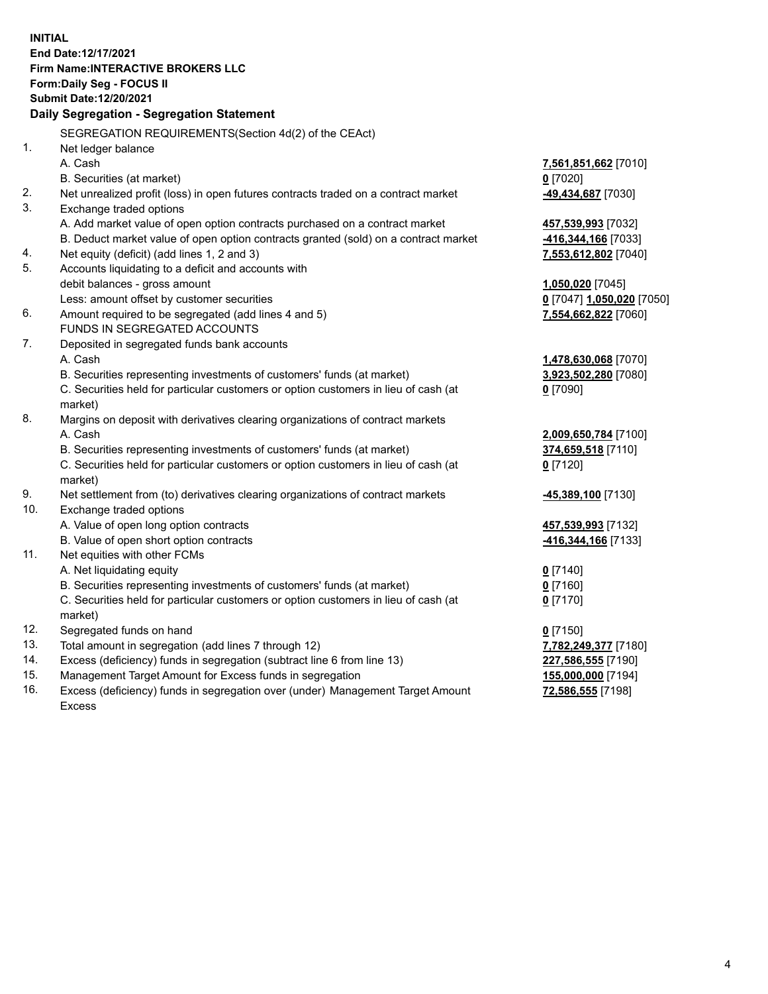**INITIAL End Date:12/17/2021 Firm Name:INTERACTIVE BROKERS LLC Form:Daily Seg - FOCUS II Submit Date:12/20/2021 Daily Segregation - Segregation Statement** SEGREGATION REQUIREMENTS(Section 4d(2) of the CEAct) 1. Net ledger balance A. Cash **7,561,851,662** [7010] B. Securities (at market) **0** [7020] 2. Net unrealized profit (loss) in open futures contracts traded on a contract market **-49,434,687** [7030] 3. Exchange traded options A. Add market value of open option contracts purchased on a contract market **457,539,993** [7032] B. Deduct market value of open option contracts granted (sold) on a contract market **-416,344,166** [7033] 4. Net equity (deficit) (add lines 1, 2 and 3) **7,553,612,802** [7040] 5. Accounts liquidating to a deficit and accounts with debit balances - gross amount **1,050,020** [7045] Less: amount offset by customer securities **0** [7047] **1,050,020** [7050] 6. Amount required to be segregated (add lines 4 and 5) **7,554,662,822** [7060] FUNDS IN SEGREGATED ACCOUNTS 7. Deposited in segregated funds bank accounts A. Cash **1,478,630,068** [7070] B. Securities representing investments of customers' funds (at market) **3,923,502,280** [7080] C. Securities held for particular customers or option customers in lieu of cash (at market) **0** [7090] 8. Margins on deposit with derivatives clearing organizations of contract markets A. Cash **2,009,650,784** [7100] B. Securities representing investments of customers' funds (at market) **374,659,518** [7110] C. Securities held for particular customers or option customers in lieu of cash (at market) **0** [7120] 9. Net settlement from (to) derivatives clearing organizations of contract markets **-45,389,100** [7130] 10. Exchange traded options A. Value of open long option contracts **457,539,993** [7132] B. Value of open short option contracts **-416,344,166** [7133] 11. Net equities with other FCMs A. Net liquidating equity **0** [7140] B. Securities representing investments of customers' funds (at market) **0** [7160] C. Securities held for particular customers or option customers in lieu of cash (at market) **0** [7170] 12. Segregated funds on hand **0** [7150] 13. Total amount in segregation (add lines 7 through 12) **7,782,249,377** [7180] 14. Excess (deficiency) funds in segregation (subtract line 6 from line 13) **227,586,555** [7190] 15. Management Target Amount for Excess funds in segregation **155,000,000** [7194] 16. Excess (deficiency) funds in segregation over (under) Management Target Amount **72,586,555** [7198]

Excess